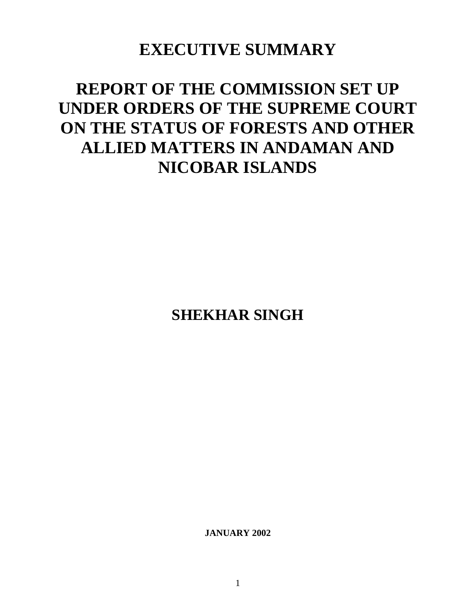## **EXECUTIVE SUMMARY**

# **REPORT OF THE COMMISSION SET UP UNDER ORDERS OF THE SUPREME COURT ON THE STATUS OF FORESTS AND OTHER ALLIED MATTERS IN ANDAMAN AND NICOBAR ISLANDS**

**SHEKHAR SINGH**

**JANUARY 2002**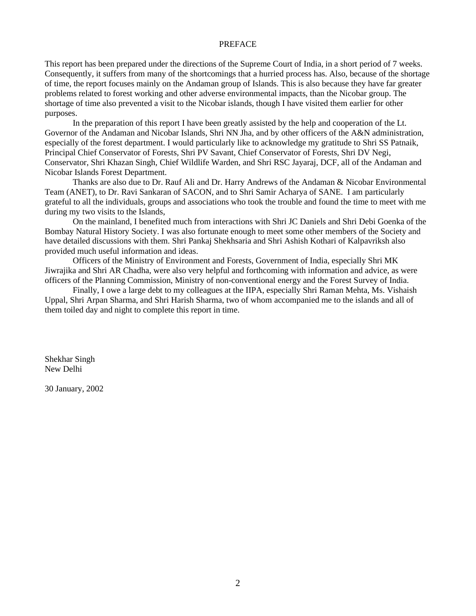#### PREFACE

This report has been prepared under the directions of the Supreme Court of India, in a short period of 7 weeks. Consequently, it suffers from many of the shortcomings that a hurried process has. Also, because of the shortage of time, the report focuses mainly on the Andaman group of Islands. This is also because they have far greater problems related to forest working and other adverse environmental impacts, than the Nicobar group. The shortage of time also prevented a visit to the Nicobar islands, though I have visited them earlier for other purposes.

In the preparation of this report I have been greatly assisted by the help and cooperation of the Lt. Governor of the Andaman and Nicobar Islands, Shri NN Jha, and by other officers of the A&N administration, especially of the forest department. I would particularly like to acknowledge my gratitude to Shri SS Patnaik, Principal Chief Conservator of Forests, Shri PV Savant, Chief Conservator of Forests, Shri DV Negi, Conservator, Shri Khazan Singh, Chief Wildlife Warden, and Shri RSC Jayaraj, DCF, all of the Andaman and Nicobar Islands Forest Department.

Thanks are also due to Dr. Rauf Ali and Dr. Harry Andrews of the Andaman & Nicobar Environmental Team (ANET), to Dr. Ravi Sankaran of SACON, and to Shri Samir Acharya of SANE. I am particularly grateful to all the individuals, groups and associations who took the trouble and found the time to meet with me during my two visits to the Islands,

On the mainland, I benefited much from interactions with Shri JC Daniels and Shri Debi Goenka of the Bombay Natural History Society. I was also fortunate enough to meet some other members of the Society and have detailed discussions with them. Shri Pankaj Shekhsaria and Shri Ashish Kothari of Kalpavriksh also provided much useful information and ideas.

Officers of the Ministry of Environment and Forests, Government of India, especially Shri MK Jiwrajika and Shri AR Chadha, were also very helpful and forthcoming with information and advice, as were officers of the Planning Commission, Ministry of non-conventional energy and the Forest Survey of India.

Finally, I owe a large debt to my colleagues at the IIPA, especially Shri Raman Mehta, Ms. Vishaish Uppal, Shri Arpan Sharma, and Shri Harish Sharma, two of whom accompanied me to the islands and all of them toiled day and night to complete this report in time.

Shekhar Singh New Delhi

30 January, 2002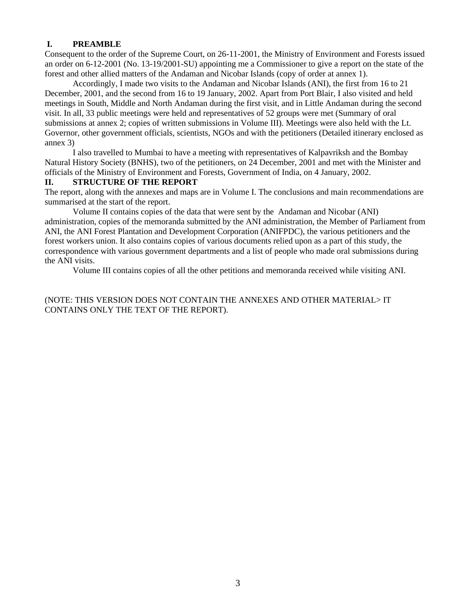#### **I. PREAMBLE**

Consequent to the order of the Supreme Court, on 26-11-2001, the Ministry of Environment and Forests issued an order on 6-12-2001 (No. 13-19/2001-SU) appointing me a Commissioner to give a report on the state of the forest and other allied matters of the Andaman and Nicobar Islands (copy of order at annex 1).

Accordingly, I made two visits to the Andaman and Nicobar Islands (ANI), the first from 16 to 21 December, 2001, and the second from 16 to 19 January, 2002. Apart from Port Blair, I also visited and held meetings in South, Middle and North Andaman during the first visit, and in Little Andaman during the second visit. In all, 33 public meetings were held and representatives of 52 groups were met (Summary of oral submissions at annex 2; copies of written submissions in Volume III). Meetings were also held with the Lt. Governor, other government officials, scientists, NGOs and with the petitioners (Detailed itinerary enclosed as annex 3)

I also travelled to Mumbai to have a meeting with representatives of Kalpavriksh and the Bombay Natural History Society (BNHS), two of the petitioners, on 24 December, 2001 and met with the Minister and officials of the Ministry of Environment and Forests, Government of India, on 4 January, 2002.

#### **II. STRUCTURE OF THE REPORT**

The report, along with the annexes and maps are in Volume I. The conclusions and main recommendations are summarised at the start of the report.

Volume II contains copies of the data that were sent by the Andaman and Nicobar (ANI) administration, copies of the memoranda submitted by the ANI administration, the Member of Parliament from ANI, the ANI Forest Plantation and Development Corporation (ANIFPDC), the various petitioners and the forest workers union. It also contains copies of various documents relied upon as a part of this study, the correspondence with various government departments and a list of people who made oral submissions during the ANI visits.

Volume III contains copies of all the other petitions and memoranda received while visiting ANI.

(NOTE: THIS VERSION DOES NOT CONTAIN THE ANNEXES AND OTHER MATERIAL> IT CONTAINS ONLY THE TEXT OF THE REPORT).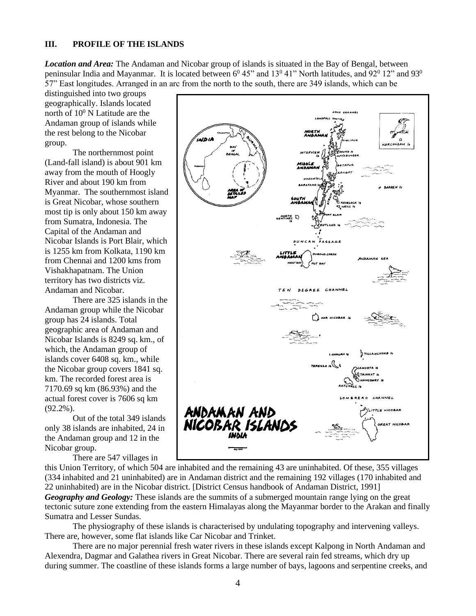#### **III. PROFILE OF THE ISLANDS**

*Location and Area:* The Andaman and Nicobar group of islands is situated in the Bay of Bengal, between peninsular India and Mayanmar. It is located between 6<sup>0</sup> 45" and 13<sup>0</sup> 41" North latitudes, and 92<sup>0</sup> 12" and 93<sup>0</sup> 57" East longitudes. Arranged in an arc from the north to the south, there are 349 islands, which can be

distinguished into two groups geographically. Islands located north of  $10^0$  N Latitude are the Andaman group of islands while the rest belong to the Nicobar group.

The northernmost point (Land-fall island) is about 901 km away from the mouth of Hoogly River and about 190 km from Myanmar. The southernmost island is Great Nicobar, whose southern most tip is only about 150 km away from Sumatra, Indonesia. The Capital of the Andaman and Nicobar Islands is Port Blair, which is 1255 km from Kolkata, 1190 km from Chennai and 1200 kms from Vishakhapatnam. The Union territory has two districts viz. Andaman and Nicobar.

There are 325 islands in the Andaman group while the Nicobar group has 24 islands. Total geographic area of Andaman and Nicobar Islands is 8249 sq. km., of which, the Andaman group of islands cover 6408 sq. km., while the Nicobar group covers 1841 sq. km. The recorded forest area is 7170.69 sq km (86.93%) and the actual forest cover is 7606 sq km (92.2%).

Out of the total 349 islands only 38 islands are inhabited, 24 in the Andaman group and 12 in the Nicobar group.

There are 547 villages in



this Union Territory, of which 504 are inhabited and the remaining 43 are uninhabited. Of these, 355 villages (334 inhabited and 21 uninhabited) are in Andaman district and the remaining 192 villages (170 inhabited and 22 uninhabited) are in the Nicobar district. [District Census handbook of Andaman District, 1991] *Geography and Geology:* These islands are the summits of a submerged mountain range lying on the great tectonic suture zone extending from the eastern Himalayas along the Mayanmar border to the Arakan and finally Sumatra and Lesser Sundas.

The physiography of these islands is characterised by undulating topography and intervening valleys. There are, however, some flat islands like Car Nicobar and Trinket.

There are no major perennial fresh water rivers in these islands except Kalpong in North Andaman and Alexendra, Dagmar and Galathea rivers in Great Nicobar. There are several rain fed streams, which dry up during summer. The coastline of these islands forms a large number of bays, lagoons and serpentine creeks, and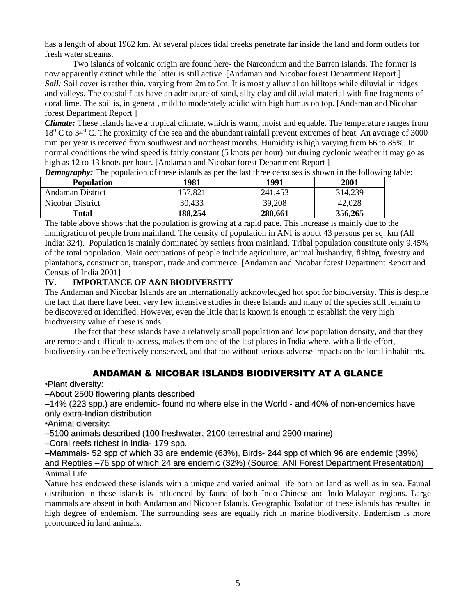has a length of about 1962 km. At several places tidal creeks penetrate far inside the land and form outlets for fresh water streams.

Two islands of volcanic origin are found here- the Narcondum and the Barren Islands. The former is now apparently extinct while the latter is still active. [Andaman and Nicobar forest Department Report ] *Soil:* Soil cover is rather thin, varying from 2m to 5m. It is mostly alluvial on hilltops while diluvial in ridges and valleys. The coastal flats have an admixture of sand, silty clay and diluvial material with fine fragments of coral lime. The soil is, in general, mild to moderately acidic with high humus on top. [Andaman and Nicobar forest Department Report ]

*Climate:* These islands have a tropical climate, which is warm, moist and equable. The temperature ranges from 18<sup>0</sup> C to 34<sup>0</sup> C. The proximity of the sea and the abundant rainfall prevent extremes of heat. An average of 3000 mm per year is received from southwest and northeast months. Humidity is high varying from 66 to 85%. In normal conditions the wind speed is fairly constant (5 knots per hour) but during cyclonic weather it may go as high as 12 to 13 knots per hour. [Andaman and Nicobar forest Department Report ]

| <b>Population</b> | 1981    | 1991    | 2001    |
|-------------------|---------|---------|---------|
| Andaman District  | 157.821 | 241,453 | 314,239 |
| Nicobar District  | 30,433  | 39,208  | 42,028  |
| Total             | 188,254 | 280,661 | 356,265 |

*Demography:* The population of these islands as per the last three censuses is shown in the following table:

The table above shows that the population is growing at a rapid pace. This increase is mainly due to the immigration of people from mainland. The density of population in ANI is about 43 persons per sq. km (All India: 324). Population is mainly dominated by settlers from mainland. Tribal population constitute only 9.45% of the total population. Main occupations of people include agriculture, animal husbandry, fishing, forestry and plantations, construction, transport, trade and commerce. [Andaman and Nicobar forest Department Report and Census of India 2001]

## **IV. IMPORTANCE OF A&N BIODIVERSITY**

The Andaman and Nicobar Islands are an internationally acknowledged hot spot for biodiversity. This is despite the fact that there have been very few intensive studies in these Islands and many of the species still remain to be discovered or identified. However, even the little that is known is enough to establish the very high biodiversity value of these islands.

The fact that these islands have a relatively small population and low population density, and that they are remote and difficult to access, makes them one of the last places in India where, with a little effort, biodiversity can be effectively conserved, and that too without serious adverse impacts on the local inhabitants.

## ANDAMAN & NICOBAR ISLANDS BIODIVERSITY AT A GLANCE

•Plant diversity:

–About 2500 flowering plants described

–14% (223 spp.) are endemic- found no where else in the World - and 40% of non-endemics have only extra-Indian distribution

•Animal diversity:

–5100 animals described (100 freshwater, 2100 terrestrial and 2900 marine)

–Coral reefs richest in India- 179 spp.

–Mammals- 52 spp of which 33 are endemic (63%), Birds- 244 spp of which 96 are endemic (39%) and Reptiles –76 spp of which 24 are endemic (32%) (Source: ANI Forest Department Presentation)

#### Animal Life

Nature has endowed these islands with a unique and varied animal life both on land as well as in sea. Faunal distribution in these islands is influenced by fauna of both Indo-Chinese and Indo-Malayan regions. Large mammals are absent in both Andaman and Nicobar Islands. Geographic Isolation of these islands has resulted in high degree of endemism. The surrounding seas are equally rich in marine biodiversity. Endemism is more pronounced in land animals.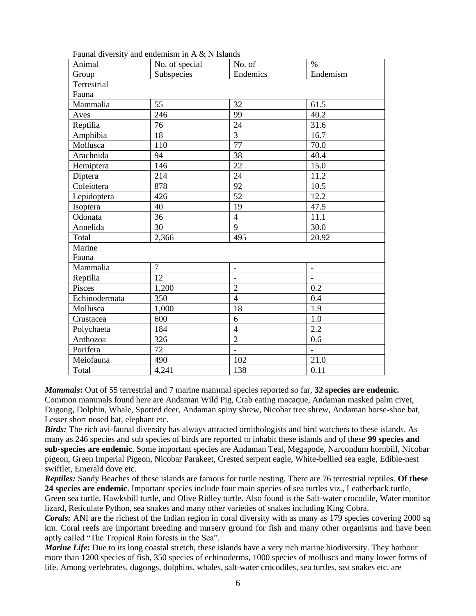| Animal        | No. of special | No. of                   | $\frac{0}{0}$            |  |
|---------------|----------------|--------------------------|--------------------------|--|
| Group         | Subspecies     | Endemics                 | Endemism                 |  |
| Terrestrial   |                |                          |                          |  |
| Fauna         |                |                          |                          |  |
| Mammalia      | 55             | 32                       | 61.5                     |  |
| Aves          | 246            | 99                       | 40.2                     |  |
| Reptilia      | 76             | 24                       | 31.6                     |  |
| Amphibia      | 18             | $\overline{3}$           | 16.7                     |  |
| Mollusca      | 110            | 77                       | 70.0                     |  |
| Arachnida     | 94             | 38                       | 40.4                     |  |
| Hemiptera     | 146            | 22                       | 15.0                     |  |
| Diptera       | 214            | 24                       | 11.2                     |  |
| Coleiotera    | 878            | 92                       | 10.5                     |  |
| Lepidoptera   | 426            | 52                       | 12.2                     |  |
| Isoptera      | 40             | 19                       | 47.5                     |  |
| Odonata       | 36             | $\overline{4}$           | 11.1                     |  |
| Annelida      | 30             | 9                        | 30.0                     |  |
| Total         | 2,366          | 495                      | 20.92                    |  |
| Marine        |                |                          |                          |  |
| Fauna         |                |                          |                          |  |
| Mammalia      | $\overline{7}$ | $\overline{\phantom{0}}$ | $\overline{\phantom{a}}$ |  |
| Reptilia      | 12             | $\overline{a}$           | $\overline{a}$           |  |
| Pisces        | 1,200          | $\overline{2}$           | 0.2                      |  |
| Echinodermata | 350            | $\overline{4}$           | 0.4                      |  |
| Mollusca      | 1,000          | 18                       | 1.9                      |  |
| Crustacea     | 600            | 6                        | 1.0                      |  |
| Polychaeta    | 184            | $\overline{4}$           | 2.2                      |  |
| Anthozoa      | 326            | $\overline{2}$           | 0.6                      |  |
| Porifera      | 72             |                          |                          |  |
| Meiofauna     | 490            | 102                      | 21.0                     |  |
| Total         | 4,241          | 138                      | 0.11                     |  |

Faunal diversity and endemism in A & N Islands

*Mammals***:** Out of 55 terrestrial and 7 marine mammal species reported so far, **32 species are endemic.** Common mammals found here are Andaman Wild Pig, Crab eating macaque, Andaman masked palm civet, Dugong, Dolphin, Whale, Spotted deer, Andaman spiny shrew, Nicobar tree shrew, Andaman horse-shoe bat, Lesser short nosed bat, elephant etc.

*Birds:* The rich avi-faunal diversity has always attracted ornithologists and bird watchers to these islands. As many as 246 species and sub species of birds are reported to inhabit these islands and of these **99 species and sub-species are endemic**. Some important species are Andaman Teal, Megapode, Narcondum hornbill, Nicobar pigeon, Green Imperial Pigeon, Nicobar Parakeet, Crested serpent eagle, White-bellied sea eagle, Edible-nest swiftlet, Emerald dove etc.

*Reptiles:* Sandy Beaches of these islands are famous for turtle nesting. There are 76 terrestrial reptiles. **Of these 24 species are endemic**. Important species include four main species of sea turtles viz., Leatherback turtle, Green sea turtle, Hawksbill turtle, and Olive Ridley turtle. Also found is the Salt-water crocodile, Water monitor

lizard, Reticulate Python, sea snakes and many other varieties of snakes including King Cobra.

*Corals:* ANI are the richest of the Indian region in coral diversity with as many as 179 species covering 2000 sq km. Coral reefs are important breeding and nursery ground for fish and many other organisms and have been aptly called "The Tropical Rain forests in the Sea".

*Marine Life*: Due to its long coastal stretch, these islands have a very rich marine biodiversity. They harbour more than 1200 species of fish, 350 species of echinoderms, 1000 species of molluscs and many lower forms of life. Among vertebrates, dugongs, dolphins, whales, salt-water crocodiles, sea turtles, sea snakes etc. are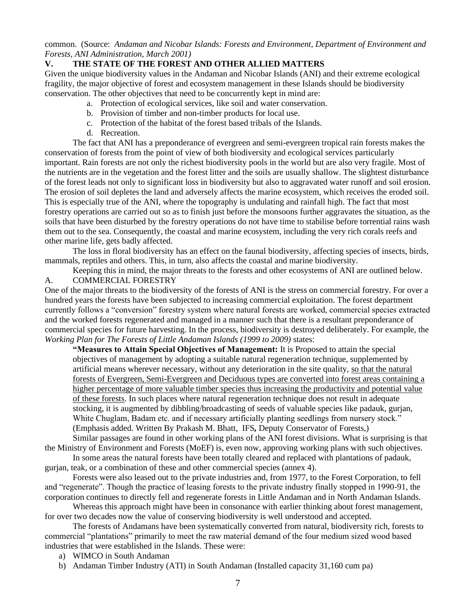common. (Source: *Andaman and Nicobar Islands: Forests and Environment, Department of Environment and Forests, ANI Administration, March 2001)*

## **V. THE STATE OF THE FOREST AND OTHER ALLIED MATTERS**

Given the unique biodiversity values in the Andaman and Nicobar Islands (ANI) and their extreme ecological fragility, the major objective of forest and ecosystem management in these Islands should be biodiversity conservation. The other objectives that need to be concurrently kept in mind are:

- a. Protection of ecological services, like soil and water conservation.
- b. Provision of timber and non-timber products for local use.
- c. Protection of the habitat of the forest based tribals of the Islands.
- d. Recreation.

The fact that ANI has a preponderance of evergreen and semi-evergreen tropical rain forests makes the conservation of forests from the point of view of both biodiversity and ecological services particularly important. Rain forests are not only the richest biodiversity pools in the world but are also very fragile. Most of the nutrients are in the vegetation and the forest litter and the soils are usually shallow. The slightest disturbance of the forest leads not only to significant loss in biodiversity but also to aggravated water runoff and soil erosion. The erosion of soil depletes the land and adversely affects the marine ecosystem, which receives the eroded soil. This is especially true of the ANI, where the topography is undulating and rainfall high. The fact that most forestry operations are carried out so as to finish just before the monsoons further aggravates the situation, as the soils that have been disturbed by the forestry operations do not have time to stabilise before torrential rains wash them out to the sea. Consequently, the coastal and marine ecosystem, including the very rich corals reefs and other marine life, gets badly affected.

The loss in floral biodiversity has an effect on the faunal biodiversity, affecting species of insects, birds, mammals, reptiles and others. This, in turn, also affects the coastal and marine biodiversity.

Keeping this in mind, the major threats to the forests and other ecosystems of ANI are outlined below. A. COMMERCIAL FORESTRY

One of the major threats to the biodiversity of the forests of ANI is the stress on commercial forestry. For over a hundred years the forests have been subjected to increasing commercial exploitation. The forest department currently follows a "conversion" forestry system where natural forests are worked, commercial species extracted and the worked forests regenerated and managed in a manner such that there is a resultant preponderance of commercial species for future harvesting. In the process, biodiversity is destroyed deliberately. For example, the *Working Plan for The Forests of Little Andaman Islands (1999 to 2009)* states:

**"Measures to Attain Special Objectives of Management:** It is Proposed to attain the special objectives of management by adopting a suitable natural regeneration technique, supplemented by artificial means wherever necessary, without any deterioration in the site quality, so that the natural forests of Evergreen, Semi-Evergreen and Deciduous types are converted into forest areas containing a higher percentage of more valuable timber species thus increasing the productivity and potential value of these forests. In such places where natural regeneration technique does not result in adequate stocking, it is augmented by dibbling/broadcasting of seeds of valuable species like padauk, gurjan, White Chuglam, Badam etc. and if necessary artificially planting seedlings from nursery stock." (Emphasis added. Written By Prakash M. Bhatt, IFS*,* Deputy Conservator of Forests,)

Similar passages are found in other working plans of the ANI forest divisions. What is surprising is that the Ministry of Environment and Forests (MoEF) is, even now, approving working plans with such objectives.

In some areas the natural forests have been totally cleared and replaced with plantations of padauk, gurjan, teak, or a combination of these and other commercial species (annex 4).

Forests were also leased out to the private industries and, from 1977, to the Forest Corporation, to fell and "regenerate". Though the practice of leasing forests to the private industry finally stopped in 1990-91, the corporation continues to directly fell and regenerate forests in Little Andaman and in North Andaman Islands.

Whereas this approach might have been in consonance with earlier thinking about forest management, for over two decades now the value of conserving biodiversity is well understood and accepted.

The forests of Andamans have been systematically converted from natural, biodiversity rich, forests to commercial "plantations" primarily to meet the raw material demand of the four medium sized wood based industries that were established in the Islands. These were:

- a) WIMCO in South Andaman
- b) Andaman Timber Industry (ATI) in South Andaman (Installed capacity 31,160 cum pa)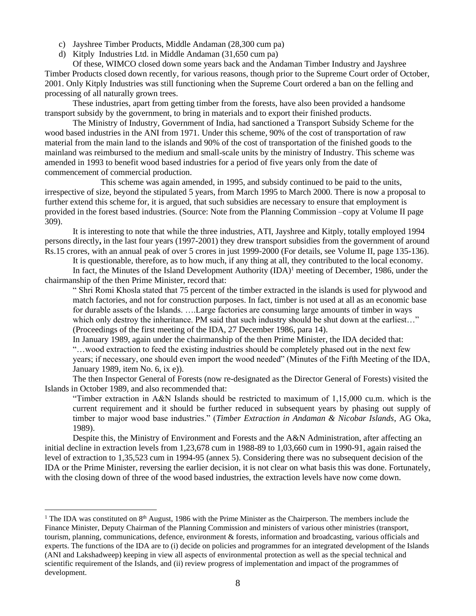- c) Jayshree Timber Products, Middle Andaman (28,300 cum pa)
- d) Kitply Industries Ltd. in Middle Andaman (31,650 cum pa)

Of these, WIMCO closed down some years back and the Andaman Timber Industry and Jayshree Timber Products closed down recently, for various reasons, though prior to the Supreme Court order of October, 2001. Only Kitply Industries was still functioning when the Supreme Court ordered a ban on the felling and processing of all naturally grown trees.

These industries, apart from getting timber from the forests, have also been provided a handsome transport subsidy by the government, to bring in materials and to export their finished products.

The Ministry of Industry, Government of India, had sanctioned a Transport Subsidy Scheme for the wood based industries in the ANI from 1971. Under this scheme, 90% of the cost of transportation of raw material from the main land to the islands and 90% of the cost of transportation of the finished goods to the mainland was reimbursed to the medium and small-scale units by the ministry of Industry. This scheme was amended in 1993 to benefit wood based industries for a period of five years only from the date of commencement of commercial production.

This scheme was again amended, in 1995, and subsidy continued to be paid to the units, irrespective of size, beyond the stipulated 5 years, from March 1995 to March 2000. There is now a proposal to further extend this scheme for, it is argued, that such subsidies are necessary to ensure that employment is provided in the forest based industries. (Source: Note from the Planning Commission –copy at Volume II page 309).

It is interesting to note that while the three industries, ATI, Jayshree and Kitply, totally employed 1994 persons directly**,** in the last four years (1997-2001) they drew transport subsidies from the government of around Rs.15 crores, with an annual peak of over 5 crores in just 1999-2000 (For details, see Volume II, page 135-136).

It is questionable, therefore, as to how much, if any thing at all, they contributed to the local economy.

In fact, the Minutes of the Island Development Authority (IDA)<sup>1</sup> meeting of December, 1986, under the chairmanship of the then Prime Minister, record that:

" Shri Romi Khosla stated that 75 percent of the timber extracted in the islands is used for plywood and match factories, and not for construction purposes. In fact, timber is not used at all as an economic base for durable assets of the Islands. ….Large factories are consuming large amounts of timber in ways which only destroy the inheritance. PM said that such industry should be shut down at the earliest..." (Proceedings of the first meeting of the IDA, 27 December 1986, para 14).

In January 1989, again under the chairmanship of the then Prime Minister, the IDA decided that: "…wood extraction to feed the existing industries should be completely phased out in the next few years; if necessary, one should even import the wood needed" (Minutes of the Fifth Meeting of the IDA, January 1989, item No. 6, ix e)).

The then Inspector General of Forests (now re-designated as the Director General of Forests) visited the Islands in October 1989, and also recommended that:

"Timber extraction in A&N Islands should be restricted to maximum of 1,15,000 cu.m. which is the current requirement and it should be further reduced in subsequent years by phasing out supply of timber to major wood base industries." (*Timber Extraction in Andaman & Nicobar Islands*, AG Oka, 1989).

Despite this, the Ministry of Environment and Forests and the A&N Administration, after affecting an initial decline in extraction levels from 1,23,678 cum in 1988-89 to 1,03,660 cum in 1990-91, again raised the level of extraction to 1,35,523 cum in 1994-95 (annex 5). Considering there was no subsequent decision of the IDA or the Prime Minister, reversing the earlier decision, it is not clear on what basis this was done. Fortunately, with the closing down of three of the wood based industries, the extraction levels have now come down.

<sup>&</sup>lt;sup>1</sup> The IDA was constituted on  $8<sup>th</sup>$  August, 1986 with the Prime Minister as the Chairperson. The members include the Finance Minister, Deputy Chairman of the Planning Commission and ministers of various other ministries (transport, tourism, planning, communications, defence, environment & forests, information and broadcasting, various officials and experts. The functions of the IDA are to (i) decide on policies and programmes for an integrated development of the Islands (ANI and Lakshadweep) keeping in view all aspects of environmental protection as well as the special technical and scientific requirement of the Islands, and (ii) review progress of implementation and impact of the programmes of development.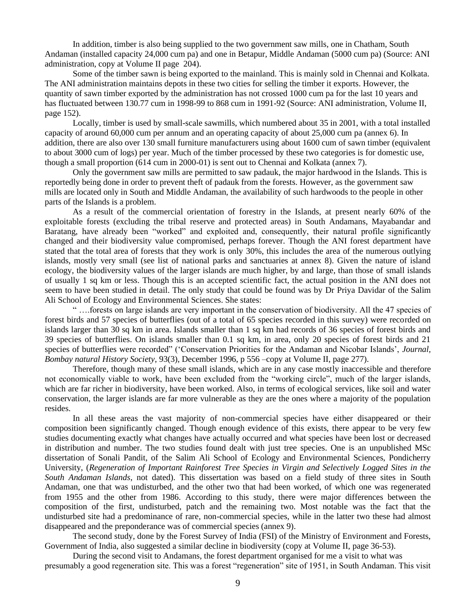In addition, timber is also being supplied to the two government saw mills, one in Chatham, South Andaman (installed capacity 24,000 cum pa) and one in Betapur, Middle Andaman (5000 cum pa) (Source: ANI administration, copy at Volume II page 204).

Some of the timber sawn is being exported to the mainland. This is mainly sold in Chennai and Kolkata. The ANI administration maintains depots in these two cities for selling the timber it exports. However, the quantity of sawn timber exported by the administration has not crossed 1000 cum pa for the last 10 years and has fluctuated between 130.77 cum in 1998-99 to 868 cum in 1991-92 (Source: ANI administration, Volume II, page 152).

Locally, timber is used by small-scale sawmills, which numbered about 35 in 2001, with a total installed capacity of around 60,000 cum per annum and an operating capacity of about 25,000 cum pa (annex 6). In addition, there are also over 130 small furniture manufacturers using about 1600 cum of sawn timber (equivalent to about 3000 cum of logs) per year. Much of the timber processed by these two categories is for domestic use, though a small proportion (614 cum in 2000-01) is sent out to Chennai and Kolkata (annex 7).

Only the government saw mills are permitted to saw padauk, the major hardwood in the Islands. This is reportedly being done in order to prevent theft of padauk from the forests. However, as the government saw mills are located only in South and Middle Andaman, the availability of such hardwoods to the people in other parts of the Islands is a problem.

As a result of the commercial orientation of forestry in the Islands, at present nearly 60% of the exploitable forests (excluding the tribal reserve and protected areas) in South Andamans, Mayabandar and Baratang, have already been "worked" and exploited and, consequently, their natural profile significantly changed and their biodiversity value compromised, perhaps forever. Though the ANI forest department have stated that the total area of forests that they work is only 30%, this includes the area of the numerous outlying islands, mostly very small (see list of national parks and sanctuaries at annex 8). Given the nature of island ecology, the biodiversity values of the larger islands are much higher, by and large, than those of small islands of usually 1 sq km or less. Though this is an accepted scientific fact, the actual position in the ANI does not seem to have been studied in detail. The only study that could be found was by Dr Priya Davidar of the Salim Ali School of Ecology and Environmental Sciences. She states:

" ….forests on large islands are very important in the conservation of biodiversity. All the 47 species of forest birds and 57 species of butterflies (out of a total of 65 species recorded in this survey) were recorded on islands larger than 30 sq km in area. Islands smaller than 1 sq km had records of 36 species of forest birds and 39 species of butterflies. On islands smaller than 0.1 sq km, in area, only 20 species of forest birds and 21 species of butterflies were recorded" ('Conservation Priorities for the Andaman and Nicobar Islands', *Journal, Bombay natural History Society*, 93(3), December 1996, p 556 –copy at Volume II, page 277).

 Therefore, though many of these small islands, which are in any case mostly inaccessible and therefore not economically viable to work, have been excluded from the "working circle", much of the larger islands, which are far richer in biodiversity, have been worked. Also, in terms of ecological services, like soil and water conservation, the larger islands are far more vulnerable as they are the ones where a majority of the population resides.

In all these areas the vast majority of non-commercial species have either disappeared or their composition been significantly changed. Though enough evidence of this exists, there appear to be very few studies documenting exactly what changes have actually occurred and what species have been lost or decreased in distribution and number. The two studies found dealt with just tree species. One is an unpublished MSc dissertation of Sonali Pandit, of the Salim Ali School of Ecology and Environmental Sciences, Pondicherry University, (*Regeneration of Important Rainforest Tree Species in Virgin and Selectively Logged Sites in the South Andaman Islands*, not dated). This dissertation was based on a field study of three sites in South Andaman, one that was undisturbed, and the other two that had been worked, of which one was regenerated from 1955 and the other from 1986. According to this study, there were major differences between the composition of the first, undisturbed, patch and the remaining two. Most notable was the fact that the undisturbed site had a predominance of rare, non-commercial species, while in the latter two these had almost disappeared and the preponderance was of commercial species (annex 9).

The second study, done by the Forest Survey of India (FSI) of the Ministry of Environment and Forests, Government of India, also suggested a similar decline in biodiversity (copy at Volume II, page 36-53).

During the second visit to Andamans, the forest department organised for me a visit to what was presumably a good regeneration site. This was a forest "regeneration" site of 1951, in South Andaman. This visit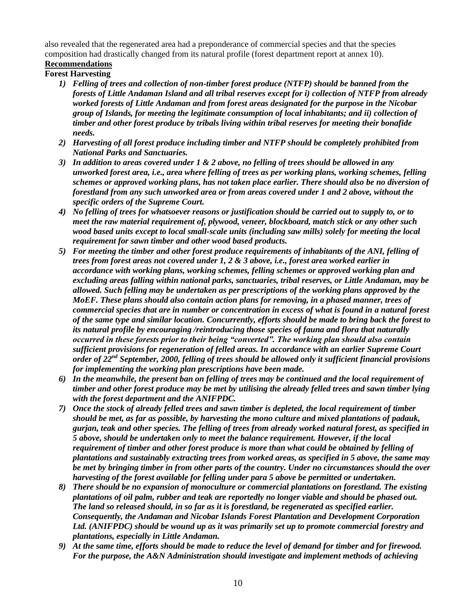also revealed that the regenerated area had a preponderance of commercial species and that the species composition had drastically changed from its natural profile (forest department report at annex 10). **Recommendations**

## **Forest Harvesting**

- *1) Felling of trees and collection of non-timber forest produce (NTFP) should be banned from the forests of Little Andaman Island and all tribal reserves except for i) collection of NTFP from already worked forests of Little Andaman and from forest areas designated for the purpose in the Nicobar group of Islands, for meeting the legitimate consumption of local inhabitants; and ii) collection of timber and other forest produce by tribals living within tribal reserves for meeting their bonafide needs.*
- *2) Harvesting of all forest produce including timber and NTFP should be completely prohibited from National Parks and Sanctuaries.*
- *3) In addition to areas covered under 1 & 2 above, no felling of trees should be allowed in any unworked forest area, i.e., area where felling of trees as per working plans, working schemes, felling schemes or approved working plans, has not taken place earlier. There should also be no diversion of forestland from any such unworked area or from areas covered under 1 and 2 above, without the specific orders of the Supreme Court.*
- *4) No felling of trees for whatsoever reasons or justification should be carried out to supply to, or to meet the raw material requirement of, plywood, veneer, blockboard, match stick or any other such wood based units except to local small-scale units (including saw mills) solely for meeting the local requirement for sawn timber and other wood based products.*
- *5) For meeting the timber and other forest produce requirements of inhabitants of the ANI, felling of trees from forest areas not covered under 1, 2 & 3 above, i.e., forest area worked earlier in accordance with working plans, working schemes, felling schemes or approved working plan and excluding areas falling within national parks, sanctuaries, tribal reserves, or Little Andaman, may be allowed. Such felling may be undertaken as per prescriptions of the working plans approved by the MoEF. These plans should also contain action plans for removing, in a phased manner, trees of commercial species that are in number or concentration in excess of what is found in a natural forest of the same type and similar location. Concurrently, efforts should be made to bring back the forest to its natural profile by encouraging /reintroducing those species of fauna and flora that naturally occurred in these forests prior to their being "converted". The working plan should also contain sufficient provisions for regeneration of felled areas. In accordance with an earlier Supreme Court order of 22nd September, 2000, felling of trees should be allowed only it sufficient financial provisions for implementing the working plan prescriptions have been made.*
- *6) In the meanwhile, the present ban on felling of trees may be continued and the local requirement of timber and other forest produce may be met by utilising the already felled trees and sawn timber lying with the forest department and the ANIFPDC.*
- *7) Once the stock of already felled trees and sawn timber is depleted, the local requirement of timber should be met, as far as possible, by harvesting the mono culture and mixed plantations of padauk, gurjan, teak and other species. The felling of trees from already worked natural forest, as specified in 5 above, should be undertaken only to meet the balance requirement. However, if the local requirement of timber and other forest produce is more than what could be obtained by felling of plantations and sustainably extracting trees from worked areas, as specified in 5 above, the same may be met by bringing timber in from other parts of the country. Under no circumstances should the over harvesting of the forest available for felling under para 5 above be permitted or undertaken.*
- *8) There should be no expansion of monoculture or commercial plantations on forestland. The existing plantations of oil palm, rubber and teak are reportedly no longer viable and should be phased out. The land so released should, in so far as it is forestland, be regenerated as specified earlier. Consequently, the Andaman and Nicobar Islands Forest Plantation and Development Corporation Ltd. (ANIFPDC) should be wound up as it was primarily set up to promote commercial forestry and plantations, especially in Little Andaman.*
- *9) At the same time, efforts should be made to reduce the level of demand for timber and for firewood. For the purpose, the A&N Administration should investigate and implement methods of achieving*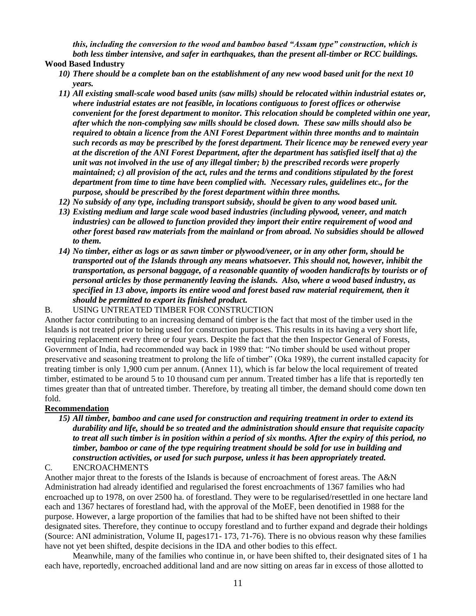*this, including the conversion to the wood and bamboo based "Assam type" construction, which is both less timber intensive, and safer in earthquakes, than the present all-timber or RCC buildings.* 

#### **Wood Based Industry**

- *10) There should be a complete ban on the establishment of any new wood based unit for the next 10 years.*
- *11) All existing small-scale wood based units (saw mills) should be relocated within industrial estates or, where industrial estates are not feasible, in locations contiguous to forest offices or otherwise convenient for the forest department to monitor. This relocation should be completed within one year, after which the non-complying saw mills should be closed down. These saw mills should also be required to obtain a licence from the ANI Forest Department within three months and to maintain such records as may be prescribed by the forest department. Their licence may be renewed every year at the discretion of the ANI Forest Department, after the department has satisfied itself that a) the unit was not involved in the use of any illegal timber; b) the prescribed records were properly maintained; c) all provision of the act, rules and the terms and conditions stipulated by the forest department from time to time have been complied with. Necessary rules, guidelines etc., for the purpose, should be prescribed by the forest department within three months.*
- *12) No subsidy of any type, including transport subsidy, should be given to any wood based unit.*
- *13) Existing medium and large scale wood based industries (including plywood, veneer, and match industries) can be allowed to function provided they import their entire requirement of wood and other forest based raw materials from the mainland or from abroad. No subsidies should be allowed to them.*
- *14) No timber, either as logs or as sawn timber or plywood/veneer, or in any other form, should be transported out of the Islands through any means whatsoever. This should not, however, inhibit the transportation, as personal baggage, of a reasonable quantity of wooden handicrafts by tourists or of personal articles by those permanently leaving the islands. Also, where a wood based industry, as specified in 13 above, imports its entire wood and forest based raw material requirement, then it should be permitted to export its finished product.*

#### B. USING UNTREATED TIMBER FOR CONSTRUCTION

Another factor contributing to an increasing demand of timber is the fact that most of the timber used in the Islands is not treated prior to being used for construction purposes. This results in its having a very short life, requiring replacement every three or four years. Despite the fact that the then Inspector General of Forests, Government of India, had recommended way back in 1989 that: "No timber should be used without proper preservative and seasoning treatment to prolong the life of timber" (Oka 1989), the current installed capacity for treating timber is only 1,900 cum per annum. (Annex 11), which is far below the local requirement of treated timber, estimated to be around 5 to 10 thousand cum per annum. Treated timber has a life that is reportedly ten times greater than that of untreated timber. Therefore, by treating all timber, the demand should come down ten fold.

#### **Recommendation**

*15) All timber, bamboo and cane used for construction and requiring treatment in order to extend its durability and life, should be so treated and the administration should ensure that requisite capacity to treat all such timber is in position within a period of six months. After the expiry of this period, no timber, bamboo or cane of the type requiring treatment should be sold for use in building and construction activities, or used for such purpose, unless it has been appropriately treated.* C. ENCROACHMENTS

Another major threat to the forests of the Islands is because of encroachment of forest areas. The A&N Administration had already identified and regularised the forest encroachments of 1367 families who had encroached up to 1978, on over 2500 ha. of forestland. They were to be regularised/resettled in one hectare land each and 1367 hectares of forestland had, with the approval of the MoEF, been denotified in 1988 for the purpose. However, a large proportion of the families that had to be shifted have not been shifted to their designated sites. Therefore, they continue to occupy forestland and to further expand and degrade their holdings (Source: ANI administration, Volume II, pages171- 173, 71-76). There is no obvious reason why these families have not yet been shifted, despite decisions in the IDA and other bodies to this effect.

Meanwhile, many of the families who continue in, or have been shifted to, their designated sites of 1 ha each have, reportedly, encroached additional land and are now sitting on areas far in excess of those allotted to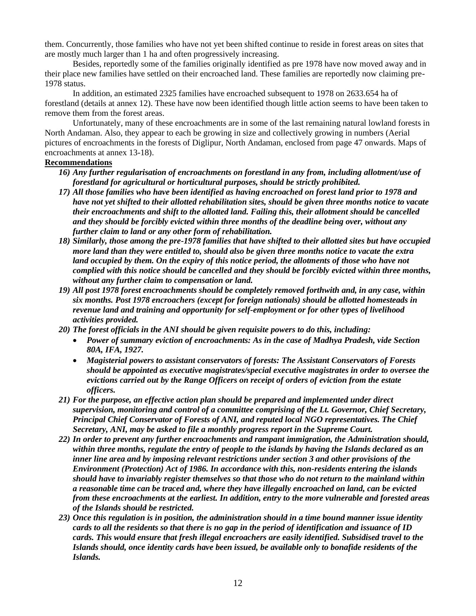them. Concurrently, those families who have not yet been shifted continue to reside in forest areas on sites that are mostly much larger than 1 ha and often progressively increasing.

Besides, reportedly some of the families originally identified as pre 1978 have now moved away and in their place new families have settled on their encroached land. These families are reportedly now claiming pre-1978 status.

In addition, an estimated 2325 families have encroached subsequent to 1978 on 2633.654 ha of forestland (details at annex 12). These have now been identified though little action seems to have been taken to remove them from the forest areas.

Unfortunately, many of these encroachments are in some of the last remaining natural lowland forests in North Andaman. Also, they appear to each be growing in size and collectively growing in numbers (Aerial pictures of encroachments in the forests of Diglipur, North Andaman, enclosed from page 47 onwards. Maps of encroachments at annex 13-18).

#### **Recommendations**

- *16) Any further regularisation of encroachments on forestland in any from, including allotment/use of forestland for agricultural or horticultural purposes, should be strictly prohibited.*
- *17) All those families who have been identified as having encroached on forest land prior to 1978 and have not yet shifted to their allotted rehabilitation sites, should be given three months notice to vacate their encroachments and shift to the allotted land. Failing this, their allotment should be cancelled and they should be forcibly evicted within three months of the deadline being over, without any further claim to land or any other form of rehabilitation.*
- *18) Similarly, those among the pre-1978 families that have shifted to their allotted sites but have occupied more land than they were entitled to, should also be given three months notice to vacate the extra*  land occupied by them. On the expiry of this notice period, the allotments of those who have not *complied with this notice should be cancelled and they should be forcibly evicted within three months, without any further claim to compensation or land.*
- *19) All post 1978 forest encroachments should be completely removed forthwith and, in any case, within six months. Post 1978 encroachers (except for foreign nationals) should be allotted homesteads in revenue land and training and opportunity for self-employment or for other types of livelihood activities provided.*
- *20) The forest officials in the ANI should be given requisite powers to do this, including:*
	- *Power of summary eviction of encroachments: As in the case of Madhya Pradesh, vide Section 80A, IFA, 1927.*
	- *Magisterial powers to assistant conservators of forests: The Assistant Conservators of Forests should be appointed as executive magistrates/special executive magistrates in order to oversee the evictions carried out by the Range Officers on receipt of orders of eviction from the estate officers.*
- *21) For the purpose, an effective action plan should be prepared and implemented under direct supervision, monitoring and control of a committee comprising of the Lt. Governor, Chief Secretary, Principal Chief Conservator of Forests of ANI, and reputed local NGO representatives. The Chief Secretary, ANI, may be asked to file a monthly progress report in the Supreme Court.*
- *22) In order to prevent any further encroachments and rampant immigration, the Administration should, within three months, regulate the entry of people to the islands by having the Islands declared as an inner line area and by imposing relevant restrictions under section 3 and other provisions of the Environment (Protection) Act of 1986. In accordance with this, non-residents entering the islands should have to invariably register themselves so that those who do not return to the mainland within a reasonable time can be traced and, where they have illegally encroached on land, can be evicted from these encroachments at the earliest. In addition, entry to the more vulnerable and forested areas of the Islands should be restricted.*
- *23) Once this regulation is in position, the administration should in a time bound manner issue identity cards to all the residents so that there is no gap in the period of identification and issuance of ID cards. This would ensure that fresh illegal encroachers are easily identified. Subsidised travel to the Islands should, once identity cards have been issued, be available only to bonafide residents of the Islands.*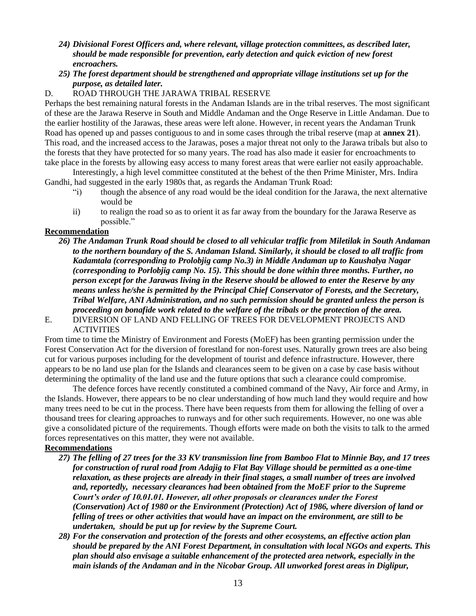- *24) Divisional Forest Officers and, where relevant, village protection committees, as described later, should be made responsible for prevention, early detection and quick eviction of new forest encroachers.*
- *25) The forest department should be strengthened and appropriate village institutions set up for the purpose, as detailed later.*

#### D. ROAD THROUGH THE JARAWA TRIBAL RESERVE

Perhaps the best remaining natural forests in the Andaman Islands are in the tribal reserves. The most significant of these are the Jarawa Reserve in South and Middle Andaman and the Onge Reserve in Little Andaman. Due to the earlier hostility of the Jarawas, these areas were left alone. However, in recent years the Andaman Trunk Road has opened up and passes contiguous to and in some cases through the tribal reserve (map at **annex 21**). This road, and the increased access to the Jarawas, poses a major threat not only to the Jarawa tribals but also to the forests that they have protected for so many years. The road has also made it easier for encroachments to take place in the forests by allowing easy access to many forest areas that were earlier not easily approachable.

Interestingly, a high level committee constituted at the behest of the then Prime Minister, Mrs. Indira Gandhi, had suggested in the early 1980s that, as regards the Andaman Trunk Road:

- "i) though the absence of any road would be the ideal condition for the Jarawa, the next alternative would be
- ii) to realign the road so as to orient it as far away from the boundary for the Jarawa Reserve as possible."

#### **Recommendation**

- *26) The Andaman Trunk Road should be closed to all vehicular traffic from Miletilak in South Andaman to the northern boundary of the S. Andaman Island. Similarly, it should be closed to all traffic from Kadamtala (corresponding to Prolobjig camp No.3) in Middle Andaman up to Kaushalya Nagar (corresponding to Porlobjig camp No. 15). This should be done within three months. Further, no person except for the Jarawas living in the Reserve should be allowed to enter the Reserve by any means unless he/she is permitted by the Principal Chief Conservator of Forests, and the Secretary, Tribal Welfare, ANI Administration, and no such permission should be granted unless the person is proceeding on bonafide work related to the welfare of the tribals or the protection of the area.*
- E. DIVERSION OF LAND AND FELLING OF TREES FOR DEVELOPMENT PROJECTS AND **ACTIVITIES**

From time to time the Ministry of Environment and Forests (MoEF) has been granting permission under the Forest Conservation Act for the diversion of forestland for non-forest uses. Naturally grown trees are also being cut for various purposes including for the development of tourist and defence infrastructure. However, there appears to be no land use plan for the Islands and clearances seem to be given on a case by case basis without determining the optimality of the land use and the future options that such a clearance could compromise.

The defence forces have recently constituted a combined command of the Navy, Air force and Army, in the Islands. However, there appears to be no clear understanding of how much land they would require and how many trees need to be cut in the process. There have been requests from them for allowing the felling of over a thousand trees for clearing approaches to runways and for other such requirements. However, no one was able give a consolidated picture of the requirements. Though efforts were made on both the visits to talk to the armed forces representatives on this matter, they were not available.

#### **Recommendations**

- *27) The felling of 27 trees for the 33 KV transmission line from Bamboo Flat to Minnie Bay, and 17 trees for construction of rural road from Adajig to Flat Bay Village should be permitted as a one-time relaxation, as these projects are already in their final stages, a small number of trees are involved and, reportedly, necessary clearances had been obtained from the MoEF prior to the Supreme Court's order of 10.01.01. However, all other proposals or clearances under the Forest (Conservation) Act of 1980 or the Environment (Protection) Act of 1986, where diversion of land or felling of trees or other activities that would have an impact on the environment, are still to be undertaken, should be put up for review by the Supreme Court.*
- *28) For the conservation and protection of the forests and other ecosystems, an effective action plan should be prepared by the ANI Forest Department, in consultation with local NGOs and experts. This plan should also envisage a suitable enhancement of the protected area network, especially in the main islands of the Andaman and in the Nicobar Group. All unworked forest areas in Diglipur,*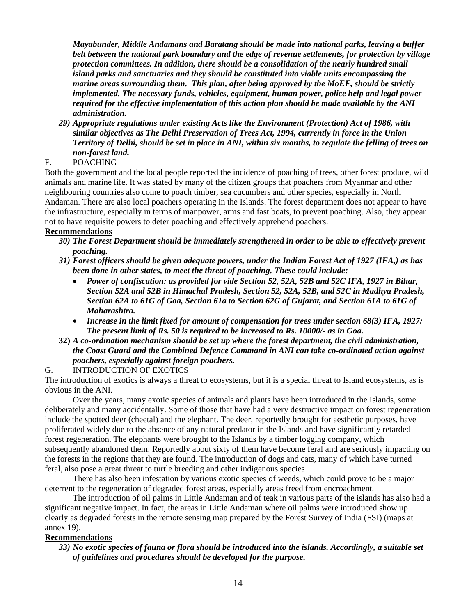*Mayabunder, Middle Andamans and Baratang should be made into national parks, leaving a buffer belt between the national park boundary and the edge of revenue settlements, for protection by village protection committees. In addition, there should be a consolidation of the nearly hundred small island parks and sanctuaries and they should be constituted into viable units encompassing the marine areas surrounding them. This plan, after being approved by the MoEF, should be strictly implemented. The necessary funds, vehicles, equipment, human power, police help and legal power required for the effective implementation of this action plan should be made available by the ANI administration.*

*29) Appropriate regulations under existing Acts like the Environment (Protection) Act of 1986, with similar objectives as The Delhi Preservation of Trees Act, 1994, currently in force in the Union Territory of Delhi, should be set in place in ANI, within six months, to regulate the felling of trees on non-forest land.*

#### F. POACHING

Both the government and the local people reported the incidence of poaching of trees, other forest produce, wild animals and marine life. It was stated by many of the citizen groups that poachers from Myanmar and other neighbouring countries also come to poach timber, sea cucumbers and other species, especially in North Andaman. There are also local poachers operating in the Islands. The forest department does not appear to have the infrastructure, especially in terms of manpower, arms and fast boats, to prevent poaching. Also, they appear not to have requisite powers to deter poaching and effectively apprehend poachers.

### **Recommendations**

- *30) The Forest Department should be immediately strengthened in order to be able to effectively prevent poaching.*
- *31) Forest officers should be given adequate powers, under the Indian Forest Act of 1927 (IFA,) as has been done in other states, to meet the threat of poaching. These could include:*
	- *Power of confiscation: as provided for vide Section 52, 52A, 52B and 52C IFA, 1927 in Bihar, Section 52A and 52B in Himachal Pradesh, Section 52, 52A, 52B, and 52C in Madhya Pradesh, Section 62A to 61G of Goa, Section 61a to Section 62G of Gujarat, and Section 61A to 61G of Maharashtra.*
	- *Increase in the limit fixed for amount of compensation for trees under section 68(3) IFA, 1927: The present limit of Rs. 50 is required to be increased to Rs. 10000/- as in Goa.*
- **32)** *A co-ordination mechanism should be set up where the forest department, the civil administration, the Coast Guard and the Combined Defence Command in ANI can take co-ordinated action against poachers, especially against foreign poachers.*

#### G. INTRODUCTION OF EXOTICS

The introduction of exotics is always a threat to ecosystems, but it is a special threat to Island ecosystems, as is obvious in the ANI.

Over the years, many exotic species of animals and plants have been introduced in the Islands, some deliberately and many accidentally. Some of those that have had a very destructive impact on forest regeneration include the spotted deer (cheetal) and the elephant. The deer, reportedly brought for aesthetic purposes, have proliferated widely due to the absence of any natural predator in the Islands and have significantly retarded forest regeneration. The elephants were brought to the Islands by a timber logging company, which subsequently abandoned them. Reportedly about sixty of them have become feral and are seriously impacting on the forests in the regions that they are found. The introduction of dogs and cats, many of which have turned feral, also pose a great threat to turtle breeding and other indigenous species

There has also been infestation by various exotic species of weeds, which could prove to be a major deterrent to the regeneration of degraded forest areas, especially areas freed from encroachment.

The introduction of oil palms in Little Andaman and of teak in various parts of the islands has also had a significant negative impact. In fact, the areas in Little Andaman where oil palms were introduced show up clearly as degraded forests in the remote sensing map prepared by the Forest Survey of India (FSI) (maps at annex 19).

#### **Recommendations**

*33) No exotic species of fauna or flora should be introduced into the islands. Accordingly, a suitable set of guidelines and procedures should be developed for the purpose.*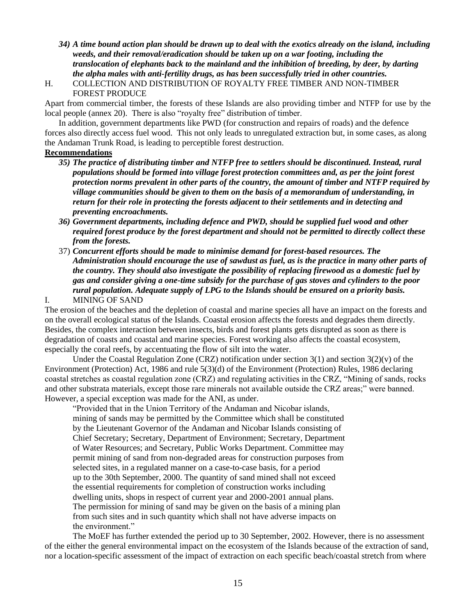- *34) A time bound action plan should be drawn up to deal with the exotics already on the island, including weeds, and their removal/eradication should be taken up on a war footing, including the translocation of elephants back to the mainland and the inhibition of breeding, by deer, by darting the alpha males with anti-fertility drugs, as has been successfully tried in other countries.*
- H. COLLECTION AND DISTRIBUTION OF ROYALTY FREE TIMBER AND NON-TIMBER FOREST PRODUCE

Apart from commercial timber, the forests of these Islands are also providing timber and NTFP for use by the local people (annex 20).There is also "royalty free" distribution of timber.

In addition, government departments like PWD (for construction and repairs of roads) and the defence forces also directly access fuel wood. This not only leads to unregulated extraction but, in some cases, as along the Andaman Trunk Road, is leading to perceptible forest destruction.

#### **Recommendations**

- *35) The practice of distributing timber and NTFP free to settlers should be discontinued. Instead, rural populations should be formed into village forest protection committees and, as per the joint forest protection norms prevalent in other parts of the country, the amount of timber and NTFP required by village communities should be given to them on the basis of a memorandum of understanding, in return for their role in protecting the forests adjacent to their settlements and in detecting and preventing encroachments.*
- *36) Government departments, including defence and PWD, should be supplied fuel wood and other required forest produce by the forest department and should not be permitted to directly collect these from the forests.*
- 37) *Concurrent efforts should be made to minimise demand for forest-based resources. The Administration should encourage the use of sawdust as fuel, as is the practice in many other parts of the country. They should also investigate the possibility of replacing firewood as a domestic fuel by gas and consider giving a one-time subsidy for the purchase of gas stoves and cylinders to the poor rural population. Adequate supply of LPG to the Islands should be ensured on a priority basis.* I. MINING OF SAND

The erosion of the beaches and the depletion of coastal and marine species all have an impact on the forests and on the overall ecological status of the Islands. Coastal erosion affects the forests and degrades them directly. Besides, the complex interaction between insects, birds and forest plants gets disrupted as soon as there is degradation of coasts and coastal and marine species. Forest working also affects the coastal ecosystem, especially the coral reefs, by accentuating the flow of silt into the water.

Under the Coastal Regulation Zone (CRZ) notification under section  $3(1)$  and section  $3(2)(v)$  of the Environment (Protection) Act, 1986 and rule 5(3)(d) of the Environment (Protection) Rules, 1986 declaring coastal stretches as coastal regulation zone (CRZ) and regulating activities in the CRZ, "Mining of sands, rocks and other substrata materials, except those rare minerals not available outside the CRZ areas;" were banned. However, a special exception was made for the ANI, as under.

"Provided that in the Union Territory of the Andaman and Nicobar islands, mining of sands may be permitted by the Committee which shall be constituted by the Lieutenant Governor of the Andaman and Nicobar Islands consisting of Chief Secretary; Secretary, Department of Environment; Secretary, Department of Water Resources; and Secretary, Public Works Department. Committee may permit mining of sand from non-degraded areas for construction purposes from selected sites, in a regulated manner on a case-to-case basis, for a period up to the 30th September, 2000. The quantity of sand mined shall not exceed the essential requirements for completion of construction works including dwelling units, shops in respect of current year and 2000-2001 annual plans. The permission for mining of sand may be given on the basis of a mining plan from such sites and in such quantity which shall not have adverse impacts on the environment."

The MoEF has further extended the period up to 30 September, 2002. However, there is no assessment of the either the general environmental impact on the ecosystem of the Islands because of the extraction of sand, nor a location-specific assessment of the impact of extraction on each specific beach/coastal stretch from where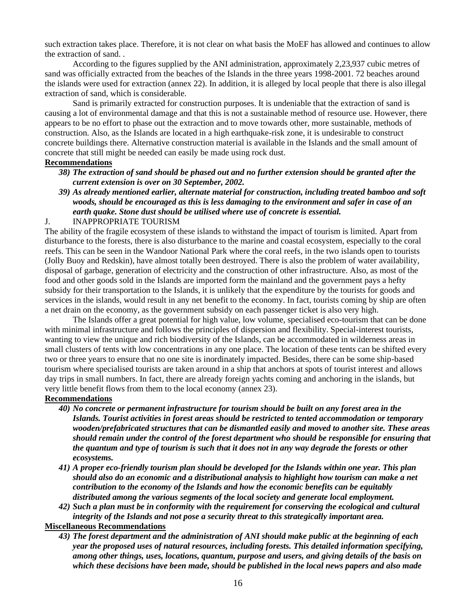such extraction takes place. Therefore, it is not clear on what basis the MoEF has allowed and continues to allow the extraction of sand. .

According to the figures supplied by the ANI administration, approximately 2,23,937 cubic metres of sand was officially extracted from the beaches of the Islands in the three years 1998-2001. 72 beaches around the islands were used for extraction (annex 22). In addition, it is alleged by local people that there is also illegal extraction of sand, which is considerable.

Sand is primarily extracted for construction purposes. It is undeniable that the extraction of sand is causing a lot of environmental damage and that this is not a sustainable method of resource use. However, there appears to be no effort to phase out the extraction and to move towards other, more sustainable, methods of construction. Also, as the Islands are located in a high earthquake-risk zone, it is undesirable to construct concrete buildings there. Alternative construction material is available in the Islands and the small amount of concrete that still might be needed can easily be made using rock dust.

#### **Recommendations**

- *38) The extraction of sand should be phased out and no further extension should be granted after the current extension is over on 30 September, 2002.*
- *39) As already mentioned earlier, alternate material for construction, including treated bamboo and soft woods, should be encouraged as this is less damaging to the environment and safer in case of an earth quake. Stone dust should be utilised where use of concrete is essential.*

#### J. INAPPROPRIATE TOURISM

The ability of the fragile ecosystem of these islands to withstand the impact of tourism is limited. Apart from disturbance to the forests, there is also disturbance to the marine and coastal ecosystem, especially to the coral reefs. This can be seen in the Wandoor National Park where the coral reefs, in the two islands open to tourists (Jolly Buoy and Redskin), have almost totally been destroyed. There is also the problem of water availability, disposal of garbage, generation of electricity and the construction of other infrastructure. Also, as most of the food and other goods sold in the Islands are imported form the mainland and the government pays a hefty subsidy for their transportation to the Islands, it is unlikely that the expenditure by the tourists for goods and services in the islands, would result in any net benefit to the economy. In fact, tourists coming by ship are often a net drain on the economy, as the government subsidy on each passenger ticket is also very high.

The Islands offer a great potential for high value, low volume, specialised eco-tourism that can be done with minimal infrastructure and follows the principles of dispersion and flexibility. Special-interest tourists, wanting to view the unique and rich biodiversity of the Islands, can be accommodated in wilderness areas in small clusters of tents with low concentrations in any one place. The location of these tents can be shifted every two or three years to ensure that no one site is inordinately impacted. Besides, there can be some ship-based tourism where specialised tourists are taken around in a ship that anchors at spots of tourist interest and allows day trips in small numbers. In fact, there are already foreign yachts coming and anchoring in the islands, but very little benefit flows from them to the local economy (annex 23).

#### **Recommendations**

- *40) No concrete or permanent infrastructure for tourism should be built on any forest area in the Islands. Tourist activities in forest areas should be restricted to tented accommodation or temporary wooden/prefabricated structures that can be dismantled easily and moved to another site. These areas should remain under the control of the forest department who should be responsible for ensuring that the quantum and type of tourism is such that it does not in any way degrade the forests or other ecosystems.*
- *41) A proper eco-friendly tourism plan should be developed for the Islands within one year. This plan should also do an economic and a distributional analysis to highlight how tourism can make a net contribution to the economy of the Islands and how the economic benefits can be equitably distributed among the various segments of the local society and generate local employment.*
- *42) Such a plan must be in conformity with the requirement for conserving the ecological and cultural integrity of the Islands and not pose a security threat to this strategically important area.*

## **Miscellaneous Recommendations**

*43) The forest department and the administration of ANI should make public at the beginning of each year the proposed uses of natural resources, including forests. This detailed information specifying, among other things, uses, locations, quantum, purpose and users, and giving details of the basis on which these decisions have been made, should be published in the local news papers and also made*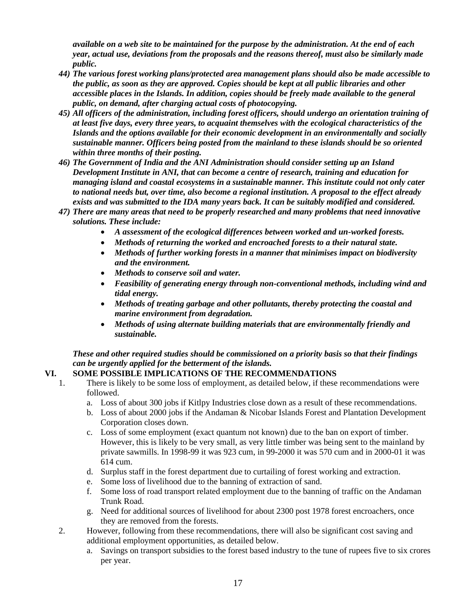*available on a web site to be maintained for the purpose by the administration. At the end of each year, actual use, deviations from the proposals and the reasons thereof, must also be similarly made public.*

- *44) The various forest working plans/protected area management plans should also be made accessible to the public, as soon as they are approved. Copies should be kept at all public libraries and other accessible places in the Islands. In addition, copies should be freely made available to the general public, on demand, after charging actual costs of photocopying.*
- *45) All officers of the administration, including forest officers, should undergo an orientation training of at least five days, every three years, to acquaint themselves with the ecological characteristics of the Islands and the options available for their economic development in an environmentally and socially sustainable manner. Officers being posted from the mainland to these islands should be so oriented within three months of their posting.*
- *46) The Government of India and the ANI Administration should consider setting up an Island Development Institute in ANI, that can become a centre of research, training and education for managing island and coastal ecosystems in a sustainable manner. This institute could not only cater to national needs but, over time, also become a regional institution. A proposal to the effect already exists and was submitted to the IDA many years back. It can be suitably modified and considered.*
- *47) There are many areas that need to be properly researched and many problems that need innovative solutions. These include:*
	- *A assessment of the ecological differences between worked and un-worked forests.*
	- *Methods of returning the worked and encroached forests to a their natural state.*
	- *Methods of further working forests in a manner that minimises impact on biodiversity and the environment.*
	- *Methods to conserve soil and water.*
	- *Feasibility of generating energy through non-conventional methods, including wind and tidal energy.*
	- *Methods of treating garbage and other pollutants, thereby protecting the coastal and marine environment from degradation.*
	- *Methods of using alternate building materials that are environmentally friendly and sustainable.*

*These and other required studies should be commissioned on a priority basis so that their findings can be urgently applied for the betterment of the islands.*

## **VI. SOME POSSIBLE IMPLICATIONS OF THE RECOMMENDATIONS**

- 1. There is likely to be some loss of employment, as detailed below, if these recommendations were followed.
	- a. Loss of about 300 jobs if Kitlpy Industries close down as a result of these recommendations.
	- b. Loss of about 2000 jobs if the Andaman & Nicobar Islands Forest and Plantation Development Corporation closes down.
	- c. Loss of some employment (exact quantum not known) due to the ban on export of timber. However, this is likely to be very small, as very little timber was being sent to the mainland by private sawmills. In 1998-99 it was 923 cum, in 99-2000 it was 570 cum and in 2000-01 it was 614 cum.
	- d. Surplus staff in the forest department due to curtailing of forest working and extraction.
	- e. Some loss of livelihood due to the banning of extraction of sand.
	- f. Some loss of road transport related employment due to the banning of traffic on the Andaman Trunk Road.
	- g. Need for additional sources of livelihood for about 2300 post 1978 forest encroachers, once they are removed from the forests.
- 2. However, following from these recommendations, there will also be significant cost saving and additional employment opportunities, as detailed below.
	- a. Savings on transport subsidies to the forest based industry to the tune of rupees five to six crores per year.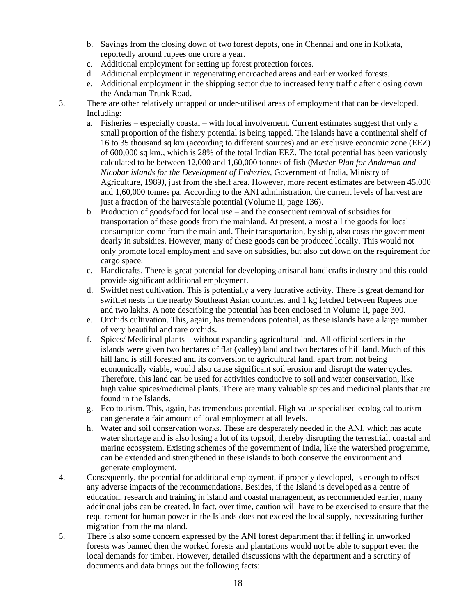- b. Savings from the closing down of two forest depots, one in Chennai and one in Kolkata, reportedly around rupees one crore a year.
- c. Additional employment for setting up forest protection forces.
- d. Additional employment in regenerating encroached areas and earlier worked forests.
- e. Additional employment in the shipping sector due to increased ferry traffic after closing down the Andaman Trunk Road.
- 3. There are other relatively untapped or under-utilised areas of employment that can be developed. Including:
	- a. Fisheries especially coastal with local involvement. Current estimates suggest that only a small proportion of the fishery potential is being tapped. The islands have a continental shelf of 16 to 35 thousand sq km (according to different sources) and an exclusive economic zone (EEZ) of 600,000 sq km., which is 28% of the total Indian EEZ. The total potential has been variously calculated to be between 12,000 and 1,60,000 tonnes of fish (M*aster Plan for Andaman and Nicobar islands for the Development of Fisheries*, Government of India, Ministry of Agriculture, 1989*),* just from the shelf area*.* However, more recent estimates are between 45,000 and 1,60,000 tonnes pa*.* According to the ANI administration, the current levels of harvest are just a fraction of the harvestable potential (Volume II, page 136).
	- b. Production of goods/food for local use and the consequent removal of subsidies for transportation of these goods from the mainland. At present, almost all the goods for local consumption come from the mainland. Their transportation, by ship, also costs the government dearly in subsidies. However, many of these goods can be produced locally. This would not only promote local employment and save on subsidies, but also cut down on the requirement for cargo space.
	- c. Handicrafts. There is great potential for developing artisanal handicrafts industry and this could provide significant additional employment.
	- d. Swiftlet nest cultivation. This is potentially a very lucrative activity. There is great demand for swiftlet nests in the nearby Southeast Asian countries, and 1 kg fetched between Rupees one and two lakhs. A note describing the potential has been enclosed in Volume II, page 300.
	- e. Orchids cultivation. This, again, has tremendous potential, as these islands have a large number of very beautiful and rare orchids.
	- f. Spices/ Medicinal plants without expanding agricultural land. All official settlers in the islands were given two hectares of flat (valley) land and two hectares of hill land. Much of this hill land is still forested and its conversion to agricultural land, apart from not being economically viable, would also cause significant soil erosion and disrupt the water cycles. Therefore, this land can be used for activities conducive to soil and water conservation, like high value spices/medicinal plants. There are many valuable spices and medicinal plants that are found in the Islands.
	- g. Eco tourism. This, again, has tremendous potential. High value specialised ecological tourism can generate a fair amount of local employment at all levels.
	- h. Water and soil conservation works. These are desperately needed in the ANI, which has acute water shortage and is also losing a lot of its topsoil, thereby disrupting the terrestrial, coastal and marine ecosystem. Existing schemes of the government of India, like the watershed programme, can be extended and strengthened in these islands to both conserve the environment and generate employment.
- 4. Consequently, the potential for additional employment, if properly developed, is enough to offset any adverse impacts of the recommendations. Besides, if the Island is developed as a centre of education, research and training in island and coastal management, as recommended earlier, many additional jobs can be created. In fact, over time, caution will have to be exercised to ensure that the requirement for human power in the Islands does not exceed the local supply, necessitating further migration from the mainland.
- 5. There is also some concern expressed by the ANI forest department that if felling in unworked forests was banned then the worked forests and plantations would not be able to support even the local demands for timber. However, detailed discussions with the department and a scrutiny of documents and data brings out the following facts: